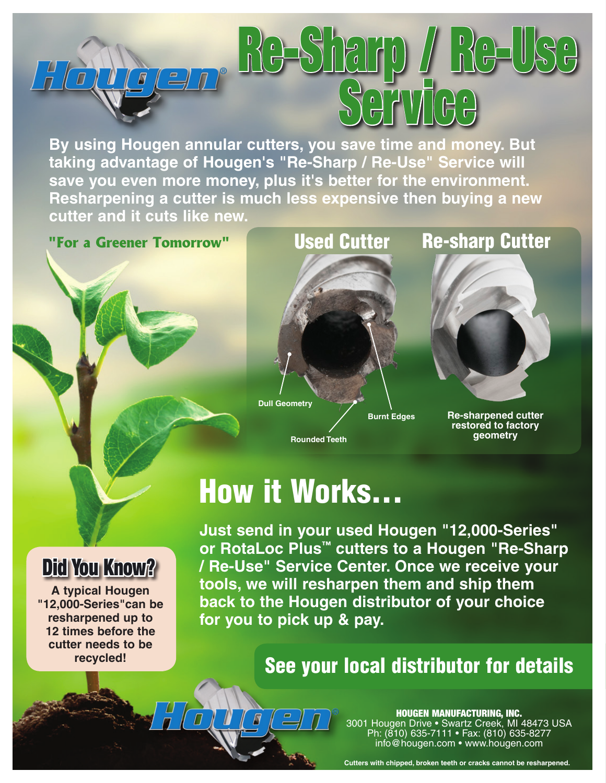

**By using Hougen annular cutters, you save time and money. But taking advantage of Hougen's "Re-Sharp / Re-Use" Service will save you even more money, plus it's better for the environment. Resharpening a cutter is much less expensive then buying a new cutter and it cuts like new.**



**Rounded Teeth**



**Re-sharpened cutter restored to factory geometry**

# How it Works...

**Just send in your used Hougen "12,000-Series" or RotaLoc Plus™ cutters to a Hougen "Re-Sharp / Re-Use" Service Center. Once we receive your tools, we will resharpen them and ship them back to the Hougen distributor of your choice for you to pick up & pay.**

### See your local distributor for details

#### HOUGEN MANUFACTURING, INC. 3001 Hougen Drive • Swartz Creek, MI 48473 USA Ph: (810) 635-7111 • Fax: (810) 635-8277

info@hougen.com • www.hougen.com

**Cutters with chipped, broken teeth or cracks cannot be resharpened.**

### Did You Know?

**A typical Hougen "12,000-Series"can be resharpened up to 12 times before the cutter needs to be recycled!**